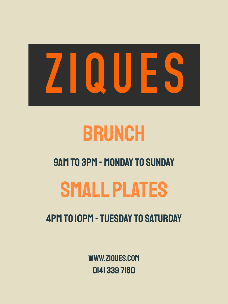



### 9am to 3pm - Monday to Sunday

# SMALL PLATES

### 4pm to 10pm - Tuesday to saturday

www.ziques.com 0141 339 7180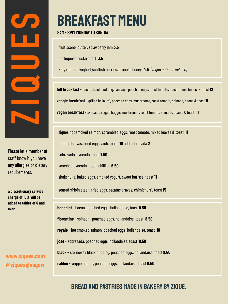

Please let a member of staff know if you have any allergies or dietary requirements.

**a discretionary service charge of 10% will be added to tables of 6 and over**

**www.ziques.com @ziquesglasgow**

### breakfast MENU

9am - 3pm Monday to sunday

fruit scone, butter, strawberry jam **3.5**

portuguese custard tart **3.5**

katy rodgers yoghurt,scottish berries, granola, honey **4.5** *(vegan option available)*

**full breakfast** - bacon, black pudding, sausage, poached eggs, roast tomato, mushrooms, beans & toast **12 veggie breakfast** - grilled halloumi, poached eggs, mushrooms, roast tomato, spinach, beans & toast **11 vegan breakfast** - avocado, veggie haggis, mushrooms, roast tomato, spinach, beans, & toast **11**

ziques hot smoked salmon, scrambled eggs, roast tomato, mixed leaves & toast **11** patatas bravas, fried eggs, aioli, toast **10** add sobrasada **2** sobrasada, avocado, toast **7.50** smashed avocado, toast, chilli oil **6.50** shakshuka, baked eggs, smoked yogurt, sweet harissa, toast **11** seared sirloin steak, fried eggs, patatas bravas, chimichurri, toast **15 benedict** - bacon, poached eggs, hollandaise, toast **9.50 florentine** - spinach, poached eggs, hollandaise, toast **8.50 royale** - hot smoked salmon, poached eggs, hollandaise, toast **10 jose** - sobrasada, poached eggs, hollandaise, toast **9.50 black -** stornoway black pudding, poached eggs, hollandaise, toast **9.50 rabbie -** veggie haggis, poached eggs, hollandaise, toast **9.50**

### bread and pastries MADE IN Bakery By Zique.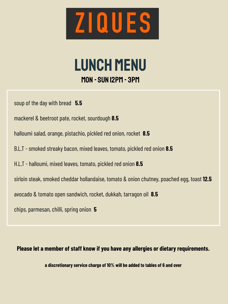

### Lunch menu mon - Sun 12pm - 3pm

soup of the day with bread **5.5**

mackerel & beetroot pate, rocket, sourdough **8.5**

halloumi salad, orange, pistachio, pickled red onion, rocket **8.5**

B.L.T - smoked streaky bacon, mixed leaves, tomato, pickled red onion **8.5**

H.L.T - halloumi, mixed leaves, tomato, pickled red onion **8.5**

sirloin steak, smoked cheddar hollandaise, tomato & onion chutney, poached egg, toast **12.5**

avocado & tomato open sandwich, rocket, dukkah, tarragon oil **8.5**

chips, parmesan, chilli, spring onion **5**

**Please let a member of staff know if you have any allergies or dietary requirements.**

**a discretionary service charge of 10% will be added to tables of 6 and over**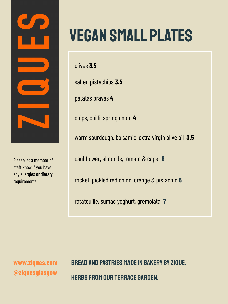

Please let a member of staff know if you have any allergies or dietary requirements.

## VEGAN SMALL PLATES

olives **3.5**

salted pistachios **3.5**

patatas bravas **4**

chips, chilli, spring onion **4**

warm sourdough, balsamic, extra virgin olive oil **3.5**

cauliflower, almonds, tomato & caper **8**

rocket, pickled red onion, orange & pistachio **6**

ratatouille, sumac yoghurt, gremolata **7**

**www.ziques.com @ziquesglasgow**

bread and pastries MADE IN Bakery By Zique. HERBS FROM OUR TERRACE GARDEN.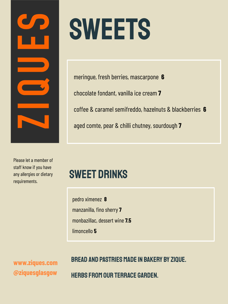

# **SWEETS**

meringue, fresh berries, mascarpone **6** chocolate fondant, vanilla ice cream **7** coffee & caramel semifreddo, hazelnuts & blackberries **6** aged comte, pear & chilli chutney, sourdough **7**

Please let a member of staff know if you have any allergies or dietary requirements.

### Sweet drinks

pedro ximenez **8** manzanilla, fino sherry **7** monbazillac, dessert wine **7.5** limoncello **5**

**www.ziques.com @ziquesglasgow**

### bread and pastries MADE IN Bakery By Zique.

HERBS FROM OUR TERRACE GARDEN.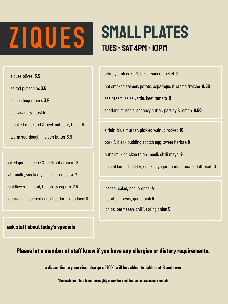# ZIQUES<sup>.</sup>

### SMALL PLATES Tues - SAT 4pm - 10pm

ziques olives **3.5**

salted pistachios **3.5**

ziques boquerones **3.5**

sobrasada & toast **5**

smoked mackerel & beetroot pate, toast **5**

warm sourdough, maldon butter **3.5**

baked goats cheese & beetroot arancini **8** ratatouille, smoked yoghurt, gremolata **7** cauliflower, almond, tomato & capers **7.5** asparagus, poached egg, cheddar hollandaise **8**

**ask staff about today's specials**

orkney crab cakes\*, tartar sauce, rocket **9** hot smoked salmon, potato, asparagus & creme fraiche **8.50**  sea bream, salsa verde, beef tomato **9** shetland mussels, anchovy butter, parsley & lemon **8.50**

sirloin, blue murder, pickled walnut, rocket **10** pork & black pudding scotch egg, sweet harissa **8** buttermilk chicken thigh, mooli, chilli mayo **9** spiced lamb shoulder, smoked yogurt, pomegranate, flatbread **10**

caesar salad, boquerones **4** patatas bravas, garlic aioli **5** chips, parmesan, chilli, spring onion **5**

**Please let a member of staff know if you have any allergies or dietary requirements.**

**a discretionary service charge of 10% will be added to tables of 6 and over**

**\*the crab meat has been thoroughly check for shell but some traces may remain**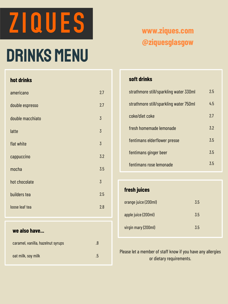

# DRINKS MENU

#### **hot drinks**

| americano        | 2.7            |
|------------------|----------------|
| double espresso  | 2.7            |
| double macchiato | $\overline{3}$ |
| latte            | $\overline{3}$ |
| flat white       | $\overline{3}$ |
| cappuccino       | 3.2            |
| mocha            | 3.5            |
| hot chocolate    | $\overline{3}$ |
| builders tea     | 2.5            |
| loose leaf tea   | 2.8            |
|                  |                |

#### **we also have...**

| caramel, vanilla, hazelnut syrups | .8      |
|-----------------------------------|---------|
| oat milk, soy milk                | $\cdot$ |

### **www.ziques.com @ziquesglasgow**

#### **soft drinks**

| strathmore still/sparkling water 330ml | 2.5 |
|----------------------------------------|-----|
| strathmore still/sparkling water 750ml | 4.5 |
| coke/diet coke                         | 2.7 |
| fresh homemade lemonade                | 3.2 |
| fentimans elderflower presse           | 3.5 |
| fentimans ginger beer                  | 3.5 |
| fentimans rose lemonade                | 3.5 |

#### **fresh juices**

| orange juice (200ml) | 3.5 |
|----------------------|-----|
| apple juice (200ml)  | 3.5 |
| virgin mary (200ml)  | 3.5 |

Please let a member of staff know if you have any allergies or dietary requirements.